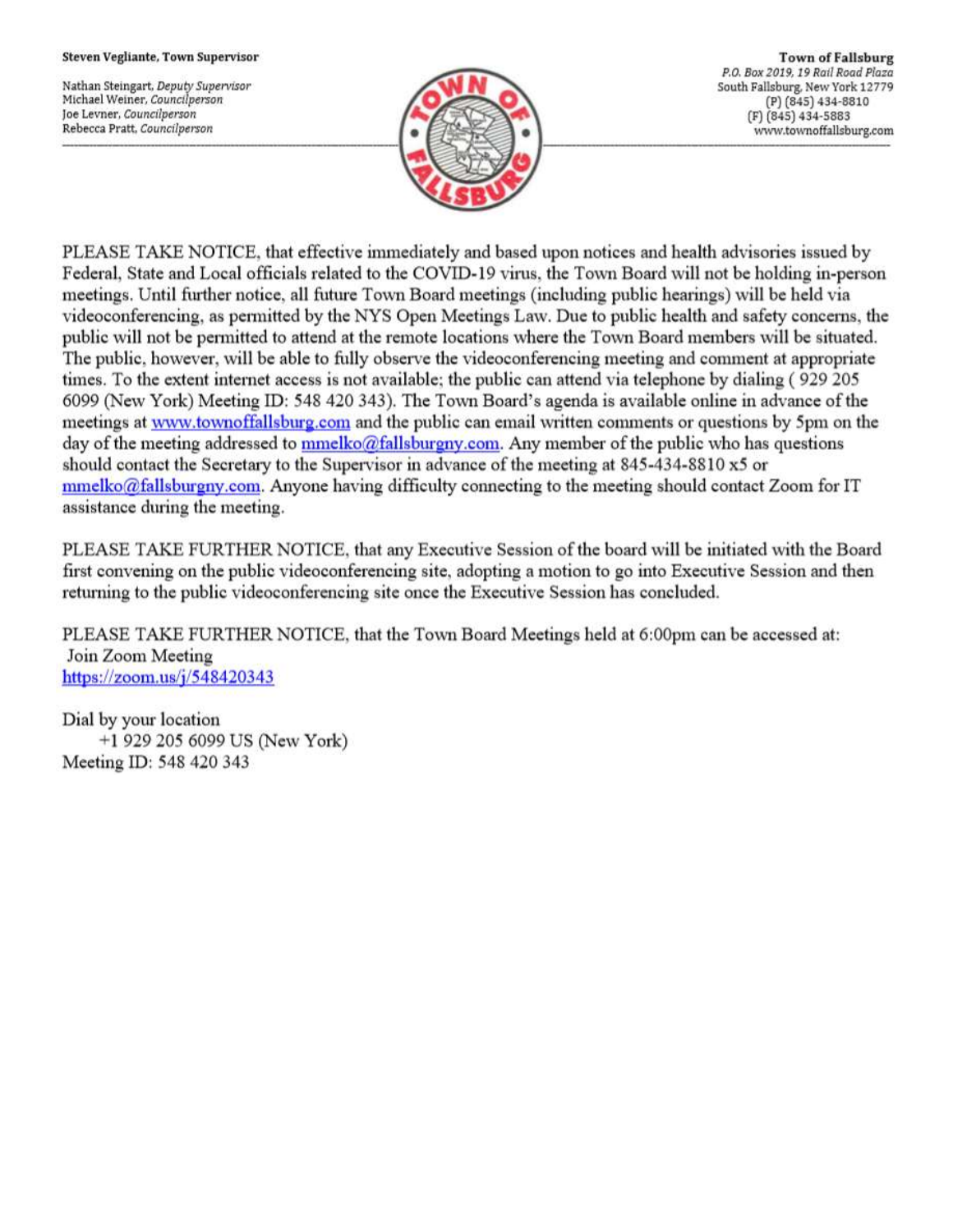#### Steven Vegliante, Town Supervisor

Nathan Steingart, Deputy Supervisor Michael Weiner, Councilperson Joe Levner, Councilperson Rebecca Pratt, Councilperson



**Town of Fallsburg** P.O. Box 2019, 19 Rail Road Plaza South Fallsburg, New York 12779 (P) (845) 434-8810 (F) (845) 434-5883 www.townoffallsburg.com

PLEASE TAKE NOTICE, that effective immediately and based upon notices and health advisories issued by Federal, State and Local officials related to the COVID-19 virus, the Town Board will not be holding in-person meetings. Until further notice, all future Town Board meetings (including public hearings) will be held via videoconferencing, as permitted by the NYS Open Meetings Law. Due to public health and safety concerns, the public will not be permitted to attend at the remote locations where the Town Board members will be situated. The public, however, will be able to fully observe the videoconferencing meeting and comment at appropriate times. To the extent internet access is not available; the public can attend via telephone by dialing (929 205 6099 (New York) Meeting ID: 548 420 343). The Town Board's agenda is available online in advance of the meetings at www.townoffallsburg.com and the public can email written comments or questions by 5pm on the day of the meeting addressed to mmelko@fallsburgny.com. Any member of the public who has questions should contact the Secretary to the Supervisor in advance of the meeting at 845-434-8810 x5 or  $mmelko@fallsburgny.com$ . Anyone having difficulty connecting to the meeting should contact Zoom for IT assistance during the meeting.

PLEASE TAKE FURTHER NOTICE, that any Executive Session of the board will be initiated with the Board first convening on the public videoconferencing site, adopting a motion to go into Executive Session and then returning to the public videoconferencing site once the Executive Session has concluded.

PLEASE TAKE FURTHER NOTICE, that the Town Board Meetings held at 6:00pm can be accessed at: Join Zoom Meeting https://zoom.us/ $j/548420343$ 

Dial by your location +1 929 205 6099 US (New York) Meeting ID: 548 420 343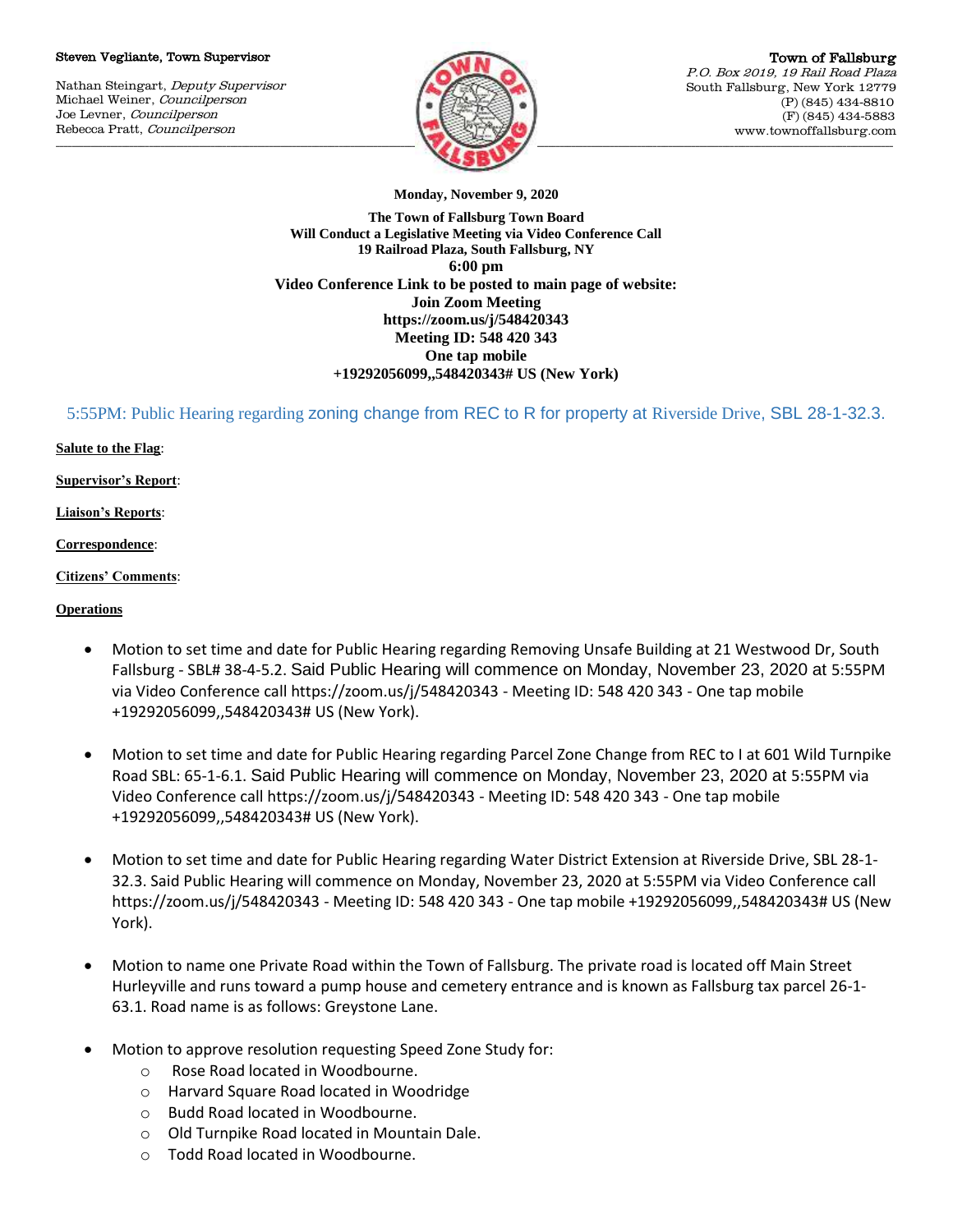#### Steven Vegliante, Town Supervisor

Nathan Steingart, Deputy Supervisor Michael Weiner, Councilperson Joe Levner, Councilperson Rebecca Pratt, Councilperson



Town of Fallsburg P.O. Box 2019, 19 Rail Road Plaza South Fallsburg, New York 12779 (P) (845) 434-8810 (F) (845) 434-5883 www.townoffallsburg.com

**Monday, November 9, 2020**

**The Town of Fallsburg Town Board Will Conduct a Legislative Meeting via Video Conference Call 19 Railroad Plaza, South Fallsburg, NY 6:00 pm Video Conference Link to be posted to main page of website: Join Zoom Meeting https://zoom.us/j/548420343 Meeting ID: 548 420 343 One tap mobile +19292056099,,548420343# US (New York)**

5:55PM: Public Hearing regarding zoning change from REC to R for property at Riverside Drive, SBL 28-1-32.3.

## **Salute to the Flag**:

**Supervisor's Report**:

**Liaison's Reports**:

## **Correspondence**:

**Citizens' Comments**:

## **Operations**

- Motion to set time and date for Public Hearing regarding Removing Unsafe Building at 21 Westwood Dr, South Fallsburg - SBL# 38-4-5.2. Said Public Hearing will commence on Monday, November 23, 2020 at 5:55PM via Video Conference call https://zoom.us/j/548420343 - Meeting ID: 548 420 343 - One tap mobile +19292056099,,548420343# US (New York).
- Motion to set time and date for Public Hearing regarding Parcel Zone Change from REC to I at 601 Wild Turnpike Road SBL: 65-1-6.1. Said Public Hearing will commence on Monday, November 23, 2020 at 5:55PM via Video Conference call https://zoom.us/j/548420343 - Meeting ID: 548 420 343 - One tap mobile +19292056099,,548420343# US (New York).
- Motion to set time and date for Public Hearing regarding Water District Extension at Riverside Drive, SBL 28-1- 32.3. Said Public Hearing will commence on Monday, November 23, 2020 at 5:55PM via Video Conference call https://zoom.us/j/548420343 - Meeting ID: 548 420 343 - One tap mobile +19292056099,,548420343# US (New York).
- Motion to name one Private Road within the Town of Fallsburg. The private road is located off Main Street Hurleyville and runs toward a pump house and cemetery entrance and is known as Fallsburg tax parcel 26-1- 63.1. Road name is as follows: Greystone Lane.
- Motion to approve resolution requesting Speed Zone Study for:
	- o Rose Road located in Woodbourne.
	- o Harvard Square Road located in Woodridge
	- o Budd Road located in Woodbourne.
	- o Old Turnpike Road located in Mountain Dale.
	- o Todd Road located in Woodbourne.